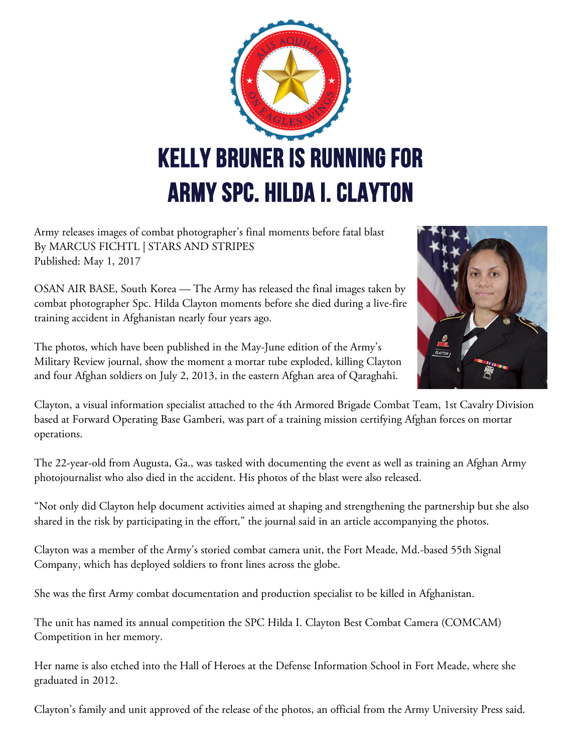

Army releases images of combat photographer's final moments before fatal blast By MARCUS FICHTL | STARS AND STRIPES Published: May 1, 2017

OSAN AIR BASE, South Korea — The Army has released the final images taken by combat photographer Spc. Hilda Clayton moments before she died during a live-fire training accident in Afghanistan nearly four years ago.

The photos, which have been published in the May-June edition of the Army's Military Review journal, show the moment a mortar tube exploded, killing Clayton and four Afghan soldiers on July 2, 2013, in the eastern Afghan area of Qaraghahi.



Clayton, a visual information specialist attached to the 4th Armored Brigade Combat Team, 1st Cavalry Division based at Forward Operating Base Gamberi, was part of a training mission certifying Afghan forces on mortar operations.

The 22-year-old from Augusta, Ga., was tasked with documenting the event as well as training an Afghan Army photojournalist who also died in the accident. His photos of the blast were also released.

"Not only did Clayton help document activities aimed at shaping and strengthening the partnership but she also shared in the risk by participating in the effort," the journal said in an article accompanying the photos.

Clayton was a member of the Army's storied combat camera unit, the Fort Meade, Md.-based 55th Signal Company, which has deployed soldiers to front lines across the globe.

She was the first Army combat documentation and production specialist to be killed in Afghanistan.

The unit has named its annual competition the SPC Hilda I. Clayton Best Combat Camera (COMCAM) Competition in her memory.

Her name is also etched into the Hall of Heroes at the Defense Information School in Fort Meade, where she graduated in 2012.

Clayton's family and unit approved of the release of the photos, an official from the Army University Press said.